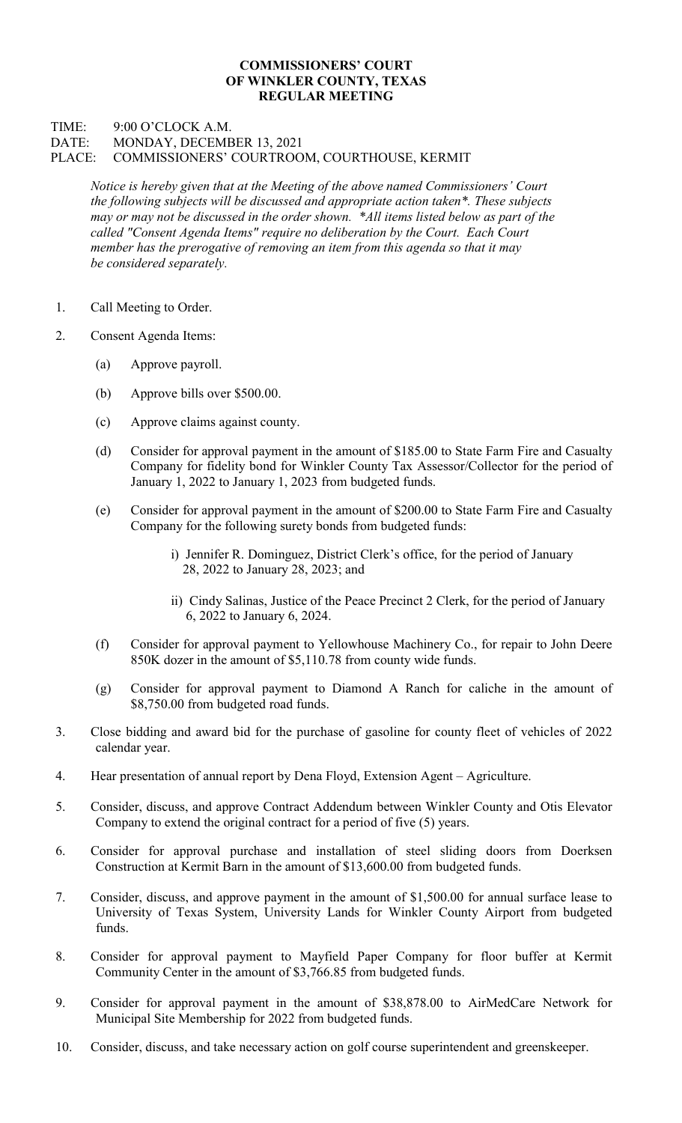## COMMISSIONERS' COURT OF WINKLER COUNTY, TEXAS REGULAR MEETING

## TIME: 9:00 O'CLOCK A.M. DATE: MONDAY, DECEMBER 13, 2021 PLACE: COMMISSIONERS' COURTROOM, COURTHOUSE, KERMIT

Notice is hereby given that at the Meeting of the above named Commissioners' Court the following subjects will be discussed and appropriate action taken\*. These subjects may or may not be discussed in the order shown. \*All items listed below as part of the called "Consent Agenda Items" require no deliberation by the Court. Each Court member has the prerogative of removing an item from this agenda so that it may be considered separately.

- 1. Call Meeting to Order.
- 2. Consent Agenda Items:
	- (a) Approve payroll.
	- (b) Approve bills over \$500.00.
	- (c) Approve claims against county.
	- (d) Consider for approval payment in the amount of \$185.00 to State Farm Fire and Casualty Company for fidelity bond for Winkler County Tax Assessor/Collector for the period of January 1, 2022 to January 1, 2023 from budgeted funds.
	- (e) Consider for approval payment in the amount of \$200.00 to State Farm Fire and Casualty Company for the following surety bonds from budgeted funds:
		- i) Jennifer R. Dominguez, District Clerk's office, for the period of January 28, 2022 to January 28, 2023; and
		- ii) Cindy Salinas, Justice of the Peace Precinct 2 Clerk, for the period of January 6, 2022 to January 6, 2024.
	- (f) Consider for approval payment to Yellowhouse Machinery Co., for repair to John Deere 850K dozer in the amount of \$5,110.78 from county wide funds.
	- (g) Consider for approval payment to Diamond A Ranch for caliche in the amount of \$8,750.00 from budgeted road funds.
- 3. Close bidding and award bid for the purchase of gasoline for county fleet of vehicles of 2022 calendar year.
- 4. Hear presentation of annual report by Dena Floyd, Extension Agent Agriculture.
- 5. Consider, discuss, and approve Contract Addendum between Winkler County and Otis Elevator Company to extend the original contract for a period of five (5) years.
- 6. Consider for approval purchase and installation of steel sliding doors from Doerksen Construction at Kermit Barn in the amount of \$13,600.00 from budgeted funds.
- 7. Consider, discuss, and approve payment in the amount of \$1,500.00 for annual surface lease to University of Texas System, University Lands for Winkler County Airport from budgeted funds.
- 8. Consider for approval payment to Mayfield Paper Company for floor buffer at Kermit Community Center in the amount of \$3,766.85 from budgeted funds.
- 9. Consider for approval payment in the amount of \$38,878.00 to AirMedCare Network for Municipal Site Membership for 2022 from budgeted funds.
- 10. Consider, discuss, and take necessary action on golf course superintendent and greenskeeper.